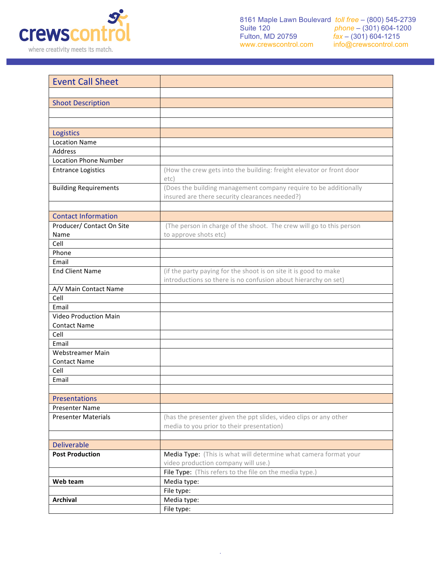

| <b>Event Call Sheet</b>      |                                                                                                                                    |  |  |  |
|------------------------------|------------------------------------------------------------------------------------------------------------------------------------|--|--|--|
|                              |                                                                                                                                    |  |  |  |
| <b>Shoot Description</b>     |                                                                                                                                    |  |  |  |
|                              |                                                                                                                                    |  |  |  |
|                              |                                                                                                                                    |  |  |  |
| Logistics                    |                                                                                                                                    |  |  |  |
| <b>Location Name</b>         |                                                                                                                                    |  |  |  |
| Address                      |                                                                                                                                    |  |  |  |
| <b>Location Phone Number</b> |                                                                                                                                    |  |  |  |
| <b>Entrance Logistics</b>    | (How the crew gets into the building: freight elevator or front door<br>etc)                                                       |  |  |  |
| <b>Building Requirements</b> | (Does the building management company require to be additionally                                                                   |  |  |  |
|                              | insured are there security clearances needed?)                                                                                     |  |  |  |
|                              |                                                                                                                                    |  |  |  |
| <b>Contact Information</b>   |                                                                                                                                    |  |  |  |
| Producer/ Contact On Site    | (The person in charge of the shoot. The crew will go to this person                                                                |  |  |  |
| Name                         | to approve shots etc)                                                                                                              |  |  |  |
| Cell                         |                                                                                                                                    |  |  |  |
| Phone                        |                                                                                                                                    |  |  |  |
| Email                        |                                                                                                                                    |  |  |  |
| <b>End Client Name</b>       | (if the party paying for the shoot is on site it is good to make<br>introductions so there is no confusion about hierarchy on set) |  |  |  |
| A/V Main Contact Name        |                                                                                                                                    |  |  |  |
| Cell                         |                                                                                                                                    |  |  |  |
| Email                        |                                                                                                                                    |  |  |  |
| <b>Video Production Main</b> |                                                                                                                                    |  |  |  |
| <b>Contact Name</b>          |                                                                                                                                    |  |  |  |
| Cell                         |                                                                                                                                    |  |  |  |
| Email                        |                                                                                                                                    |  |  |  |
| Webstreamer Main             |                                                                                                                                    |  |  |  |
| <b>Contact Name</b>          |                                                                                                                                    |  |  |  |
| Cell                         |                                                                                                                                    |  |  |  |
| Email                        |                                                                                                                                    |  |  |  |
| <b>Presentations</b>         |                                                                                                                                    |  |  |  |
| Presenter Name               |                                                                                                                                    |  |  |  |
| <b>Presenter Materials</b>   | (has the presenter given the ppt slides, video clips or any other                                                                  |  |  |  |
|                              | media to you prior to their presentation)                                                                                          |  |  |  |
|                              |                                                                                                                                    |  |  |  |
| <b>Deliverable</b>           |                                                                                                                                    |  |  |  |
| <b>Post Production</b>       | Media Type: (This is what will determine what camera format your                                                                   |  |  |  |
|                              | video production company will use.)                                                                                                |  |  |  |
|                              | File Type: (This refers to the file on the media type.)                                                                            |  |  |  |
| Web team                     | Media type:                                                                                                                        |  |  |  |
|                              | File type:                                                                                                                         |  |  |  |
| <b>Archival</b>              | Media type:                                                                                                                        |  |  |  |
|                              | File type:                                                                                                                         |  |  |  |